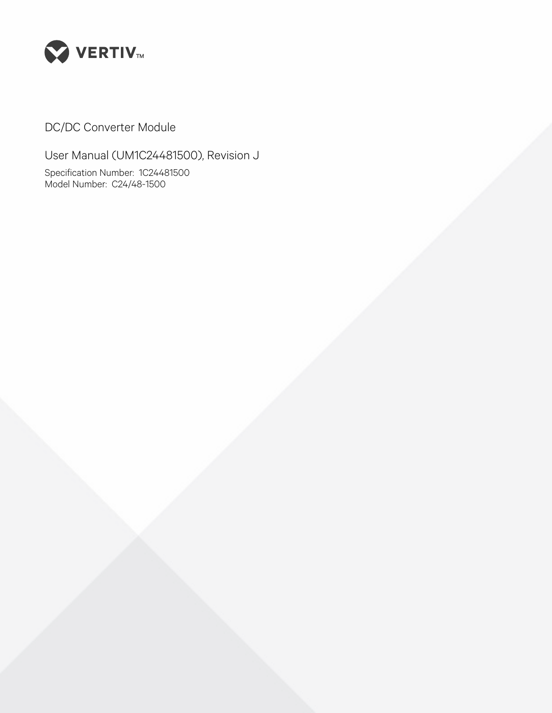

DC/DC Converter Module

User Manual (UM1C24481500), Revision J Specification Number: 1C24481500 Model Number: C24/48-1500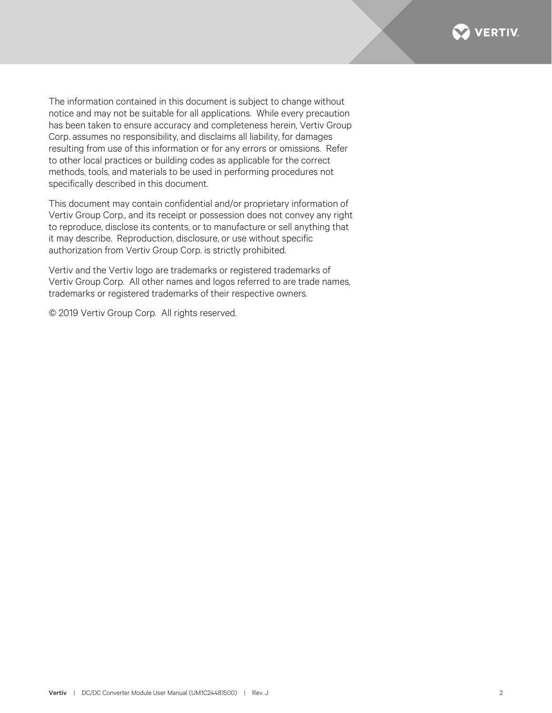

The information contained in this document is subject to change without notice and may not be suitable for all applications. While every precaution has been taken to ensure accuracy and completeness herein, Vertiv Group Corp. assumes no responsibility, and disclaims all liability, for damages resulting from use of this information or for any errors or omissions. Refer to other local practices or building codes as applicable for the correct methods, tools, and materials to be used in performing procedures not specifically described in this document.

This document may contain confidential and/or proprietary information of Vertiv Group Corp., and its receipt or possession does not convey any right to reproduce, disclose its contents, or to manufacture or sell anything that it may describe. Reproduction, disclosure, or use without specific authorization from Vertiv Group Corp. is strictly prohibited.

Vertiv and the Vertiv logo are trademarks or registered trademarks of Vertiv Group Corp. All other names and logos referred to are trade names, trademarks or registered trademarks of their respective owners.

© 2019 Vertiv Group Corp. All rights reserved.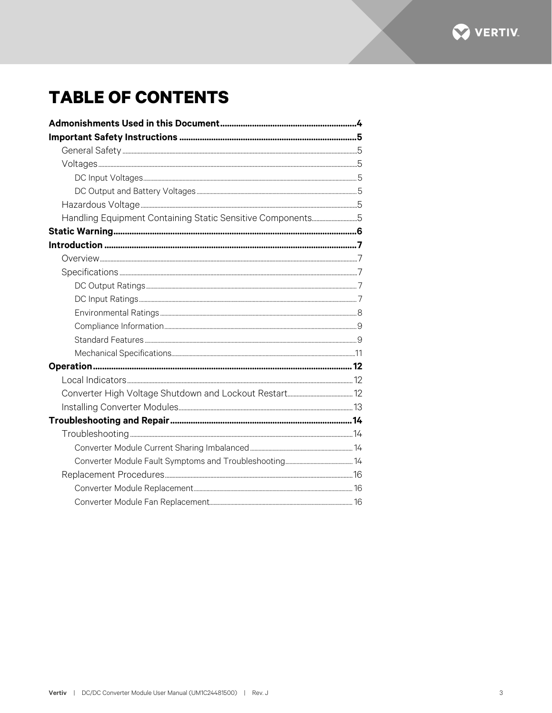

# **TABLE OF CONTENTS**

| Handling Equipment Containing Static Sensitive Components5 |  |
|------------------------------------------------------------|--|
|                                                            |  |
|                                                            |  |
|                                                            |  |
|                                                            |  |
|                                                            |  |
|                                                            |  |
|                                                            |  |
|                                                            |  |
|                                                            |  |
|                                                            |  |
|                                                            |  |
|                                                            |  |
|                                                            |  |
|                                                            |  |
|                                                            |  |
|                                                            |  |
|                                                            |  |
|                                                            |  |
|                                                            |  |
|                                                            |  |
|                                                            |  |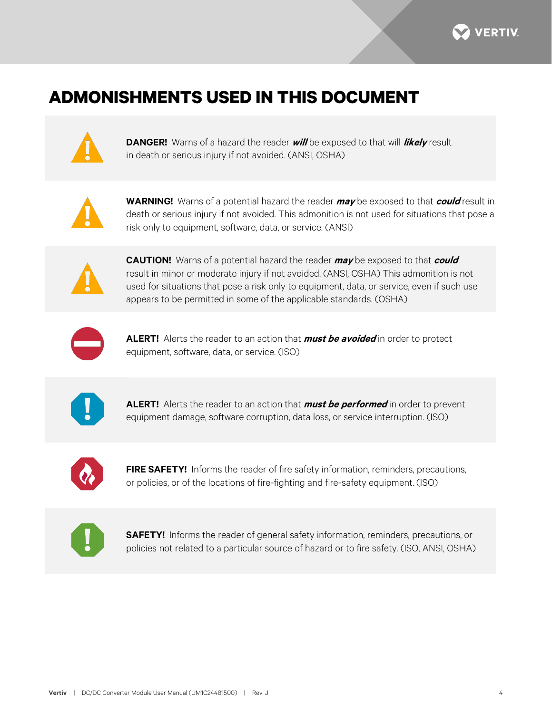

# <span id="page-3-0"></span>**ADMONISHMENTS USED IN THIS DOCUMENT**



**DANGER!** Warns of a hazard the reader **will** be exposed to that will **likely** result in death or serious injury if not avoided. (ANSI, OSHA)



**WARNING!** Warns of a potential hazard the reader **may** be exposed to that **could** result in death or serious injury if not avoided. This admonition is not used for situations that pose a risk only to equipment, software, data, or service. (ANSI)



**CAUTION!** Warns of a potential hazard the reader **may** be exposed to that **could** result in minor or moderate injury if not avoided. (ANSI, OSHA) This admonition is not used for situations that pose a risk only to equipment, data, or service, even if such use appears to be permitted in some of the applicable standards. (OSHA)



**ALERT!** Alerts the reader to an action that **must be avoided** in order to protect equipment, software, data, or service. (ISO)



**ALERT!** Alerts the reader to an action that **must be performed** in order to prevent equipment damage, software corruption, data loss, or service interruption. (ISO)



**FIRE SAFETY!** Informs the reader of fire safety information, reminders, precautions, or policies, or of the locations of fire-fighting and fire-safety equipment. (ISO)



**SAFETY!** Informs the reader of general safety information, reminders, precautions, or policies not related to a particular source of hazard or to fire safety. (ISO, ANSI, OSHA)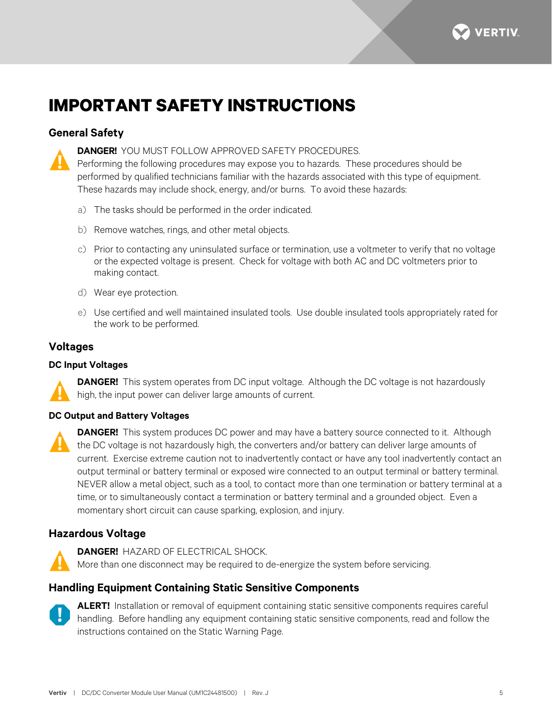

# <span id="page-4-0"></span>**IMPORTANT SAFETY INSTRUCTIONS**

## <span id="page-4-1"></span>**General Safety**



**DANGER!** YOU MUST FOLLOW APPROVED SAFETY PROCEDURES.

Performing the following procedures may expose you to hazards. These procedures should be performed by qualified technicians familiar with the hazards associated with this type of equipment. These hazards may include shock, energy, and/or burns. To avoid these hazards:

- a) The tasks should be performed in the order indicated.
- b) Remove watches, rings, and other metal objects.
- c) Prior to contacting any uninsulated surface or termination, use a voltmeter to verify that no voltage or the expected voltage is present. Check for voltage with both AC and DC voltmeters prior to making contact.
- d) Wear eye protection.
- e) Use certified and well maintained insulated tools. Use double insulated tools appropriately rated for the work to be performed.

## <span id="page-4-2"></span>**Voltages**

### <span id="page-4-3"></span>**DC Input Voltages**

**DANGER!** This system operates from DC input voltage. Although the DC voltage is not hazardously high, the input power can deliver large amounts of current.

### <span id="page-4-4"></span>**DC Output and Battery Voltages**



**DANGER!** This system produces DC power and may have a battery source connected to it. Although the DC voltage is not hazardously high, the converters and/or battery can deliver large amounts of current. Exercise extreme caution not to inadvertently contact or have any tool inadvertently contact an output terminal or battery terminal or exposed wire connected to an output terminal or battery terminal. NEVER allow a metal object, such as a tool, to contact more than one termination or battery terminal at a time, or to simultaneously contact a termination or battery terminal and a grounded object. Even a momentary short circuit can cause sparking, explosion, and injury.

## <span id="page-4-5"></span>**Hazardous Voltage**



**DANGER!** HAZARD OF ELECTRICAL SHOCK. More than one disconnect may be required to de-energize the system before servicing.

## <span id="page-4-6"></span>**Handling Equipment Containing Static Sensitive Components**



**ALERT!** Installation or removal of equipment containing static sensitive components requires careful handling. Before handling any equipment containing static sensitive components, read and follow the instructions contained on the Static Warning Page.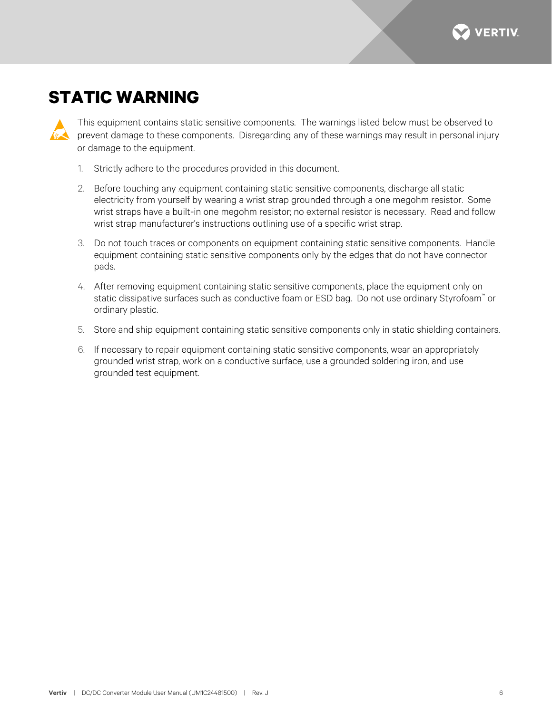

# <span id="page-5-0"></span>**STATIC WARNING**

This equipment contains static sensitive components. The warnings listed below must be observed to prevent damage to these components. Disregarding any of these warnings may result in personal injury or damage to the equipment.

- 1. Strictly adhere to the procedures provided in this document.
- 2. Before touching any equipment containing static sensitive components, discharge all static electricity from yourself by wearing a wrist strap grounded through a one megohm resistor. Some wrist straps have a built-in one megohm resistor; no external resistor is necessary. Read and follow wrist strap manufacturer's instructions outlining use of a specific wrist strap.
- 3. Do not touch traces or components on equipment containing static sensitive components. Handle equipment containing static sensitive components only by the edges that do not have connector pads.
- 4. After removing equipment containing static sensitive components, place the equipment only on static dissipative surfaces such as conductive foam or ESD bag. Do not use ordinary Styrofoam™ or ordinary plastic.
- 5. Store and ship equipment containing static sensitive components only in static shielding containers.
- 6. If necessary to repair equipment containing static sensitive components, wear an appropriately grounded wrist strap, work on a conductive surface, use a grounded soldering iron, and use grounded test equipment.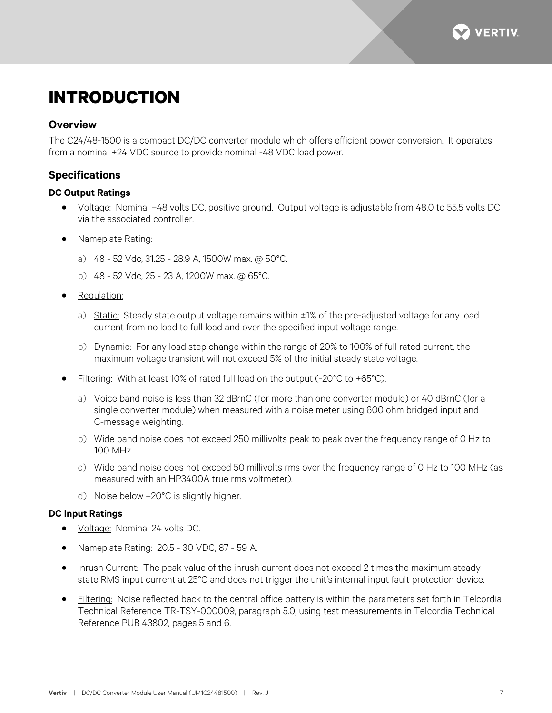

# <span id="page-6-0"></span>**INTRODUCTION**

## <span id="page-6-1"></span>**Overview**

The C24/48-1500 is a compact DC/DC converter module which offers efficient power conversion. It operates from a nominal +24 VDC source to provide nominal -48 VDC load power.

## <span id="page-6-2"></span>**Specifications**

### <span id="page-6-3"></span>**DC Output Ratings**

- Voltage: Nominal -48 volts DC, positive ground. Output voltage is adjustable from 48.0 to 55.5 volts DC via the associated controller.
- Nameplate Rating:
	- a) 48 52 Vdc, 31.25 28.9 A, 1500W max. @ 50°C.
	- b) 48 52 Vdc, 25 23 A, 1200W max. @ 65°C.
- Regulation:
	- a) Static: Steady state output voltage remains within ±1% of the pre-adjusted voltage for any load current from no load to full load and over the specified input voltage range.
	- b) Dynamic: For any load step change within the range of 20% to 100% of full rated current, the maximum voltage transient will not exceed 5% of the initial steady state voltage.
- Filtering: With at least 10% of rated full load on the output (-20°C to +65°C).
	- a) Voice band noise is less than 32 dBrnC (for more than one converter module) or 40 dBrnC (for a single converter module) when measured with a noise meter using 600 ohm bridged input and C-message weighting.
	- b) Wide band noise does not exceed 250 millivolts peak to peak over the frequency range of 0 Hz to 100 MHz.
	- c) Wide band noise does not exceed 50 millivolts rms over the frequency range of 0 Hz to 100 MHz (as measured with an HP3400A true rms voltmeter).
	- d) Noise below –20°C is slightly higher.

#### <span id="page-6-4"></span>**DC Input Ratings**

- Voltage: Nominal 24 volts DC.
- Nameplate Rating: 20.5 30 VDC, 87 59 A.
- Inrush Current: The peak value of the inrush current does not exceed 2 times the maximum steadystate RMS input current at 25°C and does not trigger the unit's internal input fault protection device.
- Filtering: Noise reflected back to the central office battery is within the parameters set forth in Telcordia Technical Reference TR-TSY-000009, paragraph 5.0, using test measurements in Telcordia Technical Reference PUB 43802, pages 5 and 6.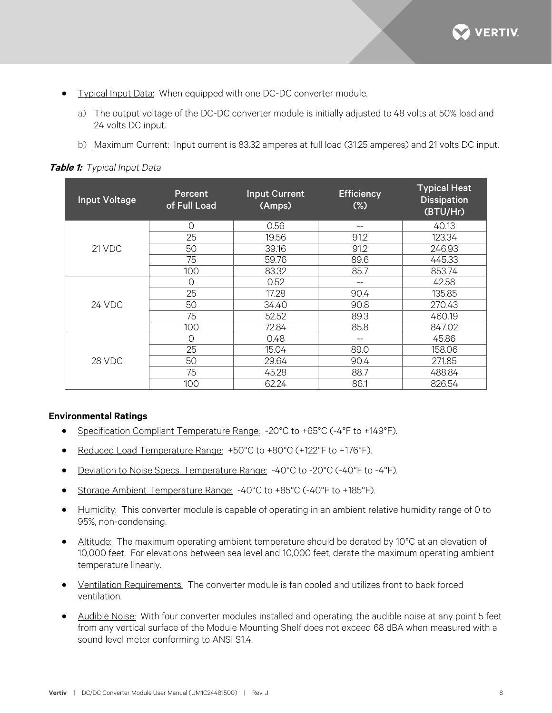

- Typical Input Data: When equipped with one DC-DC converter module.
	- a) The output voltage of the DC-DC converter module is initially adjusted to 48 volts at 50% load and 24 volts DC input.
	- b) Maximum Current: Input current is 83.32 amperes at full load (31.25 amperes) and 21 volts DC input.

|  | <b>Input Voltage</b> | <b>Percent</b><br>of Full Load | <b>Input Current</b><br>(Amps) | <b>Efficiency</b><br>$(\%)$ | <b>Typical Heat</b><br><b>Dissipation</b><br>(BTU/Hr) |
|--|----------------------|--------------------------------|--------------------------------|-----------------------------|-------------------------------------------------------|
|  |                      | $\circ$                        | 0.56                           | --                          | 40.13                                                 |
|  | 21 VDC               | 25                             | 19.56                          | 91.2                        | 123.34                                                |
|  |                      | 50                             | 39.16                          | 91.2                        | 246.93                                                |
|  |                      | 75                             | 59.76                          | 89.6                        | 445.33                                                |
|  |                      | 100                            | 83.32                          | 85.7                        | 853.74                                                |
|  |                      | $\bigcap$                      | 0.52                           | --                          | 42.58                                                 |
|  |                      | 25                             | 17.28                          | 90.4                        | 135.85                                                |
|  | 24 VDC               | 50                             | 34.40                          | 90.8                        | 270.43                                                |
|  |                      | 75                             | 52.52                          | 89.3                        | 460.19                                                |
|  |                      | 100                            | 72.84                          | 85.8                        | 847.02                                                |
|  |                      | Ω                              | 0.48                           |                             | 45.86                                                 |
|  |                      | 25                             | 15.04                          | 89.0                        | 158.06                                                |
|  | 28 VDC               | 50                             | 29.64                          | 90.4                        | 271.85                                                |
|  |                      | 75                             | 45.28                          | 88.7                        | 488.84                                                |
|  |                      | 100                            | 62.24                          | 86.1                        | 826.54                                                |

**Table 1:** *Typical Input Data*

### <span id="page-7-0"></span>**Environmental Ratings**

- Specification Compliant Temperature Range: -20°C to +65°C (-4°F to +149°F).
- Reduced Load Temperature Range: +50°C to +80°C (+122°F to +176°F).
- Deviation to Noise Specs. Temperature Range: -40°C to -20°C (-40°F to -4°F).
- Storage Ambient Temperature Range: -40°C to +85°C (-40°F to +185°F).
- Humidity: This converter module is capable of operating in an ambient relative humidity range of 0 to 95%, non-condensing.
- Altitude: The maximum operating ambient temperature should be derated by 10°C at an elevation of 10,000 feet. For elevations between sea level and 10,000 feet, derate the maximum operating ambient temperature linearly.
- Ventilation Requirements: The converter module is fan cooled and utilizes front to back forced ventilation.
- Audible Noise: With four converter modules installed and operating, the audible noise at any point 5 feet from any vertical surface of the Module Mounting Shelf does not exceed 68 dBA when measured with a sound level meter conforming to ANSI S1.4.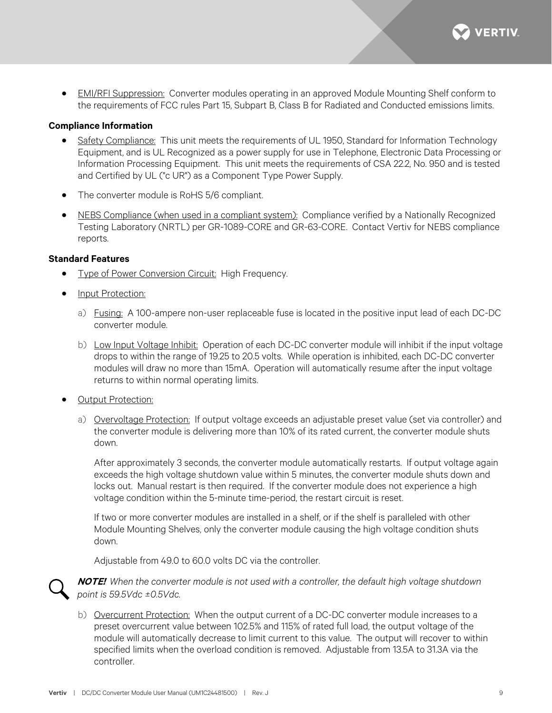• EMI/RFI Suppression: Converter modules operating in an approved Module Mounting Shelf conform to the requirements of FCC rules Part 15, Subpart B, Class B for Radiated and Conducted emissions limits.

#### <span id="page-8-0"></span>**Compliance Information**

- Safety Compliance: This unit meets the requirements of UL 1950, Standard for Information Technology Equipment, and is UL Recognized as a power supply for use in Telephone, Electronic Data Processing or Information Processing Equipment. This unit meets the requirements of CSA 22.2, No. 950 and is tested and Certified by UL ("c UR") as a Component Type Power Supply.
- The converter module is RoHS 5/6 compliant.
- NEBS Compliance (when used in a compliant system): Compliance verified by a Nationally Recognized Testing Laboratory (NRTL) per GR-1089-CORE and GR-63-CORE. Contact Vertiv for NEBS compliance reports.

### <span id="page-8-1"></span>**Standard Features**

- Type of Power Conversion Circuit: High Frequency.
- **Input Protection:** 
	- a) Fusing: A 100-ampere non-user replaceable fuse is located in the positive input lead of each DC-DC converter module.
	- b) Low Input Voltage Inhibit: Operation of each DC-DC converter module will inhibit if the input voltage drops to within the range of 19.25 to 20.5 volts. While operation is inhibited, each DC-DC converter modules will draw no more than 15mA. Operation will automatically resume after the input voltage returns to within normal operating limits.
- **Output Protection:** 
	- a) Overvoltage Protection: If output voltage exceeds an adjustable preset value (set via controller) and the converter module is delivering more than 10% of its rated current, the converter module shuts down.

After approximately 3 seconds, the converter module automatically restarts. If output voltage again exceeds the high voltage shutdown value within 5 minutes, the converter module shuts down and locks out. Manual restart is then required. If the converter module does not experience a high voltage condition within the 5-minute time-period, the restart circuit is reset.

If two or more converter modules are installed in a shelf, or if the shelf is paralleled with other Module Mounting Shelves, only the converter module causing the high voltage condition shuts down.

Adjustable from 49.0 to 60.0 volts DC via the controller.



**NOTE!** *When the converter module is not used with a controller, the default high voltage shutdown point is 59.5Vdc ±0.5Vdc.*

b) Overcurrent Protection: When the output current of a DC-DC converter module increases to a preset overcurrent value between 102.5% and 115% of rated full load, the output voltage of the module will automatically decrease to limit current to this value. The output will recover to within specified limits when the overload condition is removed. Adjustable from 13.5A to 31.3A via the controller.

**VERTIV**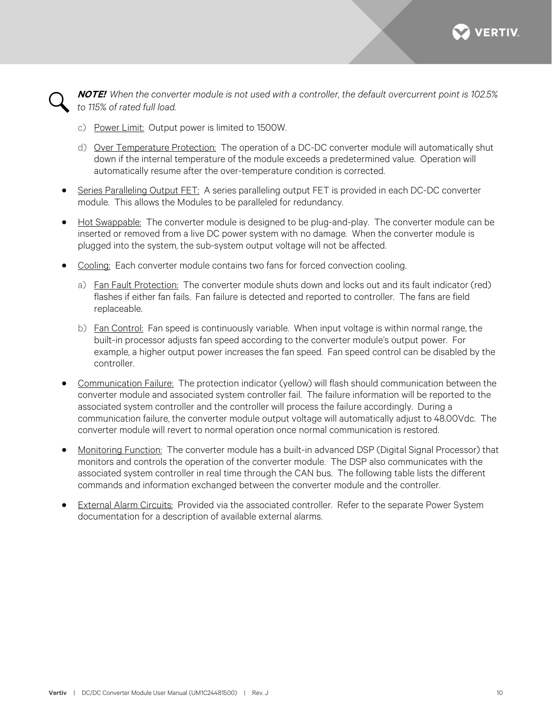**VERTIV** 

**NOTE!** *When the converter module is not used with a controller, the default overcurrent point is 102.5% to 115% of rated full load.*

- c) Power Limit: Output power is limited to 1500W.
- d) Over Temperature Protection: The operation of a DC-DC converter module will automatically shut down if the internal temperature of the module exceeds a predetermined value. Operation will automatically resume after the over-temperature condition is corrected.
- Series Paralleling Output FET: A series paralleling output FET is provided in each DC-DC converter module. This allows the Modules to be paralleled for redundancy.
- Hot Swappable: The converter module is designed to be plug-and-play. The converter module can be inserted or removed from a live DC power system with no damage. When the converter module is plugged into the system, the sub-system output voltage will not be affected.
- Cooling: Each converter module contains two fans for forced convection cooling.
	- a) Fan Fault Protection: The converter module shuts down and locks out and its fault indicator (red) flashes if either fan fails. Fan failure is detected and reported to controller. The fans are field replaceable.
	- b) Fan Control: Fan speed is continuously variable. When input voltage is within normal range, the built-in processor adjusts fan speed according to the converter module's output power. For example, a higher output power increases the fan speed. Fan speed control can be disabled by the controller.
- Communication Failure: The protection indicator (yellow) will flash should communication between the converter module and associated system controller fail. The failure information will be reported to the associated system controller and the controller will process the failure accordingly. During a communication failure, the converter module output voltage will automatically adjust to 48.00Vdc. The converter module will revert to normal operation once normal communication is restored.
- Monitoring Function: The converter module has a built-in advanced DSP (Digital Signal Processor) that monitors and controls the operation of the converter module. The DSP also communicates with the associated system controller in real time through the CAN bus. The following table lists the different commands and information exchanged between the converter module and the controller.
- **External Alarm Circuits:** Provided via the associated controller. Refer to the separate Power System documentation for a description of available external alarms.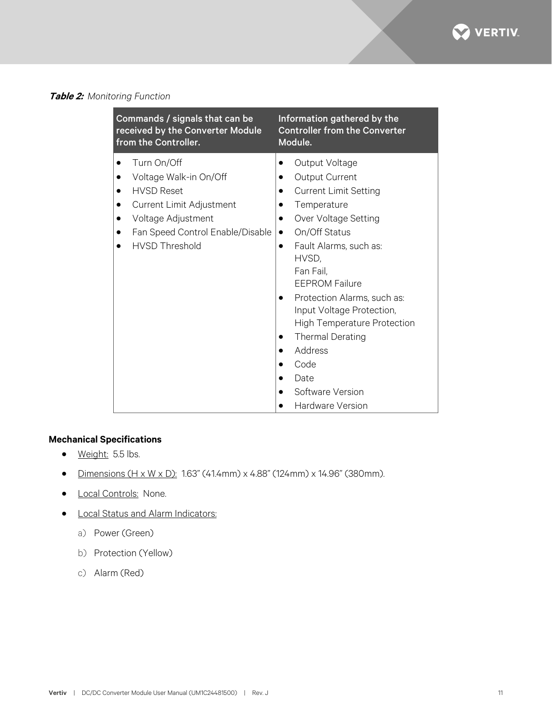

## **Table 2:** *Monitoring Function*

| Commands / signals that can be                                                                                                                                            | Information gathered by the                                                                                                                                                                                                                                                                                                                                                                                                                            |
|---------------------------------------------------------------------------------------------------------------------------------------------------------------------------|--------------------------------------------------------------------------------------------------------------------------------------------------------------------------------------------------------------------------------------------------------------------------------------------------------------------------------------------------------------------------------------------------------------------------------------------------------|
| received by the Converter Module                                                                                                                                          | <b>Controller from the Converter</b>                                                                                                                                                                                                                                                                                                                                                                                                                   |
| from the Controller.                                                                                                                                                      | Module.                                                                                                                                                                                                                                                                                                                                                                                                                                                |
| Turn On/Off<br>Voltage Walk-in On/Off<br><b>HVSD Reset</b><br>Current Limit Adjustment<br>Voltage Adjustment<br>Fan Speed Control Enable/Disable<br><b>HVSD Threshold</b> | Output Voltage<br>$\bullet$<br><b>Output Current</b><br><b>Current Limit Setting</b><br>Temperature<br>Over Voltage Setting<br>On/Off Status<br>$\bullet$<br>Fault Alarms, such as:<br>$\bullet$<br>HVSD,<br>Fan Fail,<br><b>EEPROM Failure</b><br>Protection Alarms, such as:<br>Input Voltage Protection,<br><b>High Temperature Protection</b><br><b>Thermal Derating</b><br>Address<br>Code<br>Date<br>Software Version<br><b>Hardware Version</b> |

## <span id="page-10-0"></span>**Mechanical Specifications**

- Weight: 5.5 lbs.
- Dimensions  $(H \times W \times D)$ : 1.63" (41.4mm) x 4.88" (124mm) x 14.96" (380mm).
- Local Controls: None.
- Local Status and Alarm Indicators:
	- a) Power (Green)
	- b) Protection (Yellow)
	- c) Alarm (Red)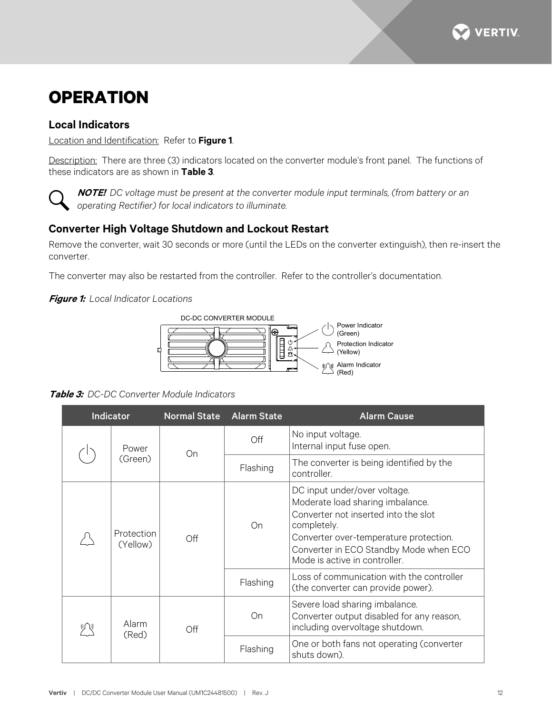

# <span id="page-11-0"></span>**OPERATION**

## <span id="page-11-1"></span>**Local Indicators**

Location and Identification: Refer to **[Figure 1](#page-11-3)**.

Description: There are three (3) indicators located on the converter module's front panel. The functions of these indicators are as shown in **[Table 3](#page-11-4)**.



**NOTE!** *DC voltage must be present at the converter module input terminals, (from battery or an operating Rectifier) for local indicators to illuminate.*

## <span id="page-11-2"></span>**Converter High Voltage Shutdown and Lockout Restart**

Remove the converter, wait 30 seconds or more (until the LEDs on the converter extinguish), then re-insert the converter.

The converter may also be restarted from the controller. Refer to the controller's documentation.

<span id="page-11-3"></span>**Figure 1:** *Local Indicator Locations*



<span id="page-11-4"></span>**Table 3:** *DC-DC Converter Module Indicators*

| <b>Indicator</b> |                        | <b>Normal State</b> | <b>Alarm State</b> | <b>Alarm Cause</b>                                                                                                                                                                                                                           |
|------------------|------------------------|---------------------|--------------------|----------------------------------------------------------------------------------------------------------------------------------------------------------------------------------------------------------------------------------------------|
|                  | Power<br>(Green)       | On                  | Off                | No input voltage.<br>Internal input fuse open.                                                                                                                                                                                               |
|                  |                        |                     | Flashing           | The converter is being identified by the<br>controller.                                                                                                                                                                                      |
|                  | Protection<br>(Yellow) | Off                 | On                 | DC input under/over voltage.<br>Moderate load sharing imbalance.<br>Converter not inserted into the slot<br>completely.<br>Converter over-temperature protection.<br>Converter in ECO Standby Mode when ECO<br>Mode is active in controller. |
|                  |                        |                     | Flashing           | Loss of communication with the controller<br>(the converter can provide power).                                                                                                                                                              |
|                  | Alarm<br>(Red)         | Off                 | On                 | Severe load sharing imbalance.<br>Converter output disabled for any reason,<br>including overvoltage shutdown.                                                                                                                               |
|                  |                        |                     | Flashing           | One or both fans not operating (converter<br>shuts down).                                                                                                                                                                                    |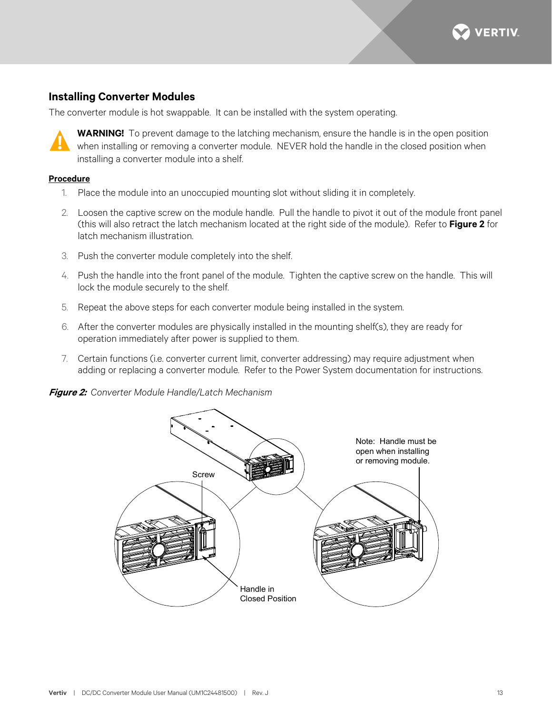

## <span id="page-12-0"></span>**Installing Converter Modules**

The converter module is hot swappable. It can be installed with the system operating.



**WARNING!** To prevent damage to the latching mechanism, ensure the handle is in the open position when installing or removing a converter module. NEVER hold the handle in the closed position when installing a converter module into a shelf.

#### **Procedure**

- 1. Place the module into an unoccupied mounting slot without sliding it in completely.
- 2. Loosen the captive screw on the module handle. Pull the handle to pivot it out of the module front panel (this will also retract the latch mechanism located at the right side of the module). Refer to **[Figure 2](#page-12-1)** for latch mechanism illustration.
- 3. Push the converter module completely into the shelf.
- 4. Push the handle into the front panel of the module. Tighten the captive screw on the handle. This will lock the module securely to the shelf.
- 5. Repeat the above steps for each converter module being installed in the system.
- 6. After the converter modules are physically installed in the mounting shelf(s), they are ready for operation immediately after power is supplied to them.
- 7. Certain functions (i.e. converter current limit, converter addressing) may require adjustment when adding or replacing a converter module. Refer to the Power System documentation for instructions.

<span id="page-12-1"></span>**Figure 2:** *Converter Module Handle/Latch Mechanism*

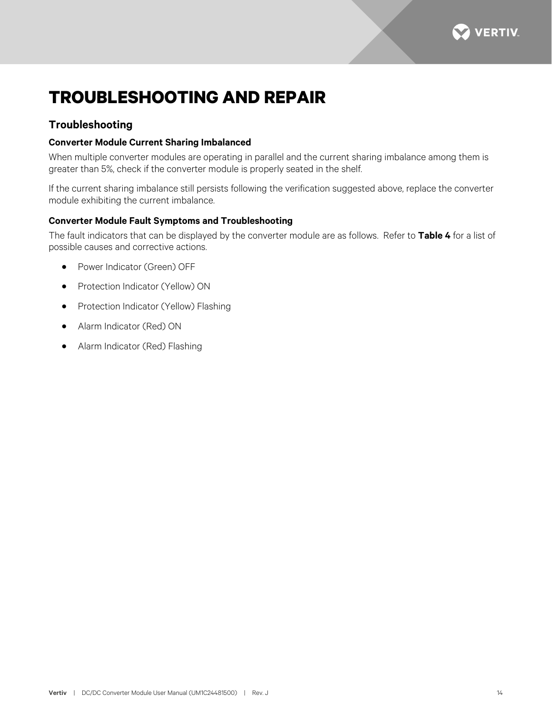

# <span id="page-13-0"></span>**TROUBLESHOOTING AND REPAIR**

## <span id="page-13-1"></span>**Troubleshooting**

### <span id="page-13-2"></span>**Converter Module Current Sharing Imbalanced**

When multiple converter modules are operating in parallel and the current sharing imbalance among them is greater than 5%, check if the converter module is properly seated in the shelf.

If the current sharing imbalance still persists following the verification suggested above, replace the converter module exhibiting the current imbalance.

### <span id="page-13-3"></span>**Converter Module Fault Symptoms and Troubleshooting**

The fault indicators that can be displayed by the converter module are as follows. Refer to **[Table 4](#page-14-0)** for a list of possible causes and corrective actions.

- Power Indicator (Green) OFF
- Protection Indicator (Yellow) ON
- Protection Indicator (Yellow) Flashing
- Alarm Indicator (Red) ON
- Alarm Indicator (Red) Flashing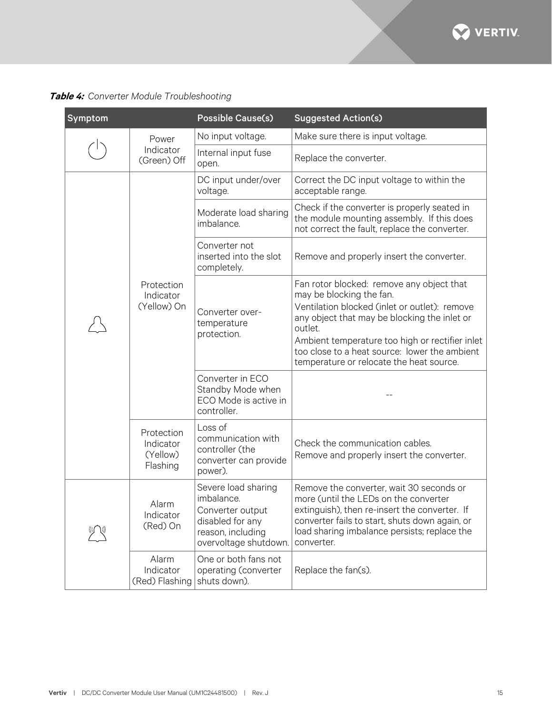

## <span id="page-14-0"></span>**Table 4:** *Converter Module Troubleshooting*

| Symptom |                                                 | <b>Possible Cause(s)</b>                                                                                                | <b>Suggested Action(s)</b>                                                                                                                                                                                                                                                                                                        |
|---------|-------------------------------------------------|-------------------------------------------------------------------------------------------------------------------------|-----------------------------------------------------------------------------------------------------------------------------------------------------------------------------------------------------------------------------------------------------------------------------------------------------------------------------------|
|         | Power<br>Indicator<br>(Green) Off               | No input voltage.                                                                                                       | Make sure there is input voltage.                                                                                                                                                                                                                                                                                                 |
|         |                                                 | Internal input fuse<br>open.                                                                                            | Replace the converter.                                                                                                                                                                                                                                                                                                            |
|         | Protection<br>Indicator<br>(Yellow) On          | DC input under/over<br>voltage.                                                                                         | Correct the DC input voltage to within the<br>acceptable range.                                                                                                                                                                                                                                                                   |
|         |                                                 | Moderate load sharing<br>imbalance.                                                                                     | Check if the converter is properly seated in<br>the module mounting assembly. If this does<br>not correct the fault, replace the converter.                                                                                                                                                                                       |
|         |                                                 | Converter not<br>inserted into the slot<br>completely.                                                                  | Remove and properly insert the converter.                                                                                                                                                                                                                                                                                         |
|         |                                                 | Converter over-<br>temperature<br>protection.                                                                           | Fan rotor blocked: remove any object that<br>may be blocking the fan.<br>Ventilation blocked (inlet or outlet): remove<br>any object that may be blocking the inlet or<br>outlet.<br>Ambient temperature too high or rectifier inlet<br>too close to a heat source: lower the ambient<br>temperature or relocate the heat source. |
|         |                                                 | Converter in ECO<br>Standby Mode when<br>ECO Mode is active in<br>controller.                                           |                                                                                                                                                                                                                                                                                                                                   |
|         | Protection<br>Indicator<br>(Yellow)<br>Flashing | Loss of<br>communication with<br>controller (the<br>converter can provide<br>power).                                    | Check the communication cables.<br>Remove and properly insert the converter.                                                                                                                                                                                                                                                      |
|         | Alarm<br>Indicator<br>(Red) On                  | Severe load sharing<br>imbalance.<br>Converter output<br>disabled for any<br>reason, including<br>overvoltage shutdown. | Remove the converter, wait 30 seconds or<br>more (until the LEDs on the converter<br>extinguish), then re-insert the converter. If<br>converter fails to start, shuts down again, or<br>load sharing imbalance persists; replace the<br>converter.                                                                                |
|         | Alarm<br>Indicator<br>(Red) Flashing            | One or both fans not<br>operating (converter<br>shuts down).                                                            | Replace the fan(s).                                                                                                                                                                                                                                                                                                               |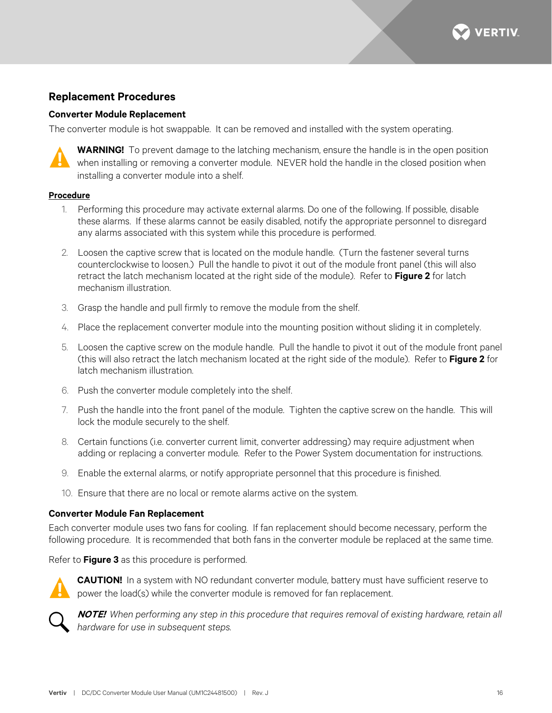

## <span id="page-15-0"></span>**Replacement Procedures**

#### <span id="page-15-1"></span>**Converter Module Replacement**

The converter module is hot swappable. It can be removed and installed with the system operating.



**WARNING!** To prevent damage to the latching mechanism, ensure the handle is in the open position when installing or removing a converter module. NEVER hold the handle in the closed position when installing a converter module into a shelf.

#### **Procedure**

- 1. Performing this procedure may activate external alarms. Do one of the following. If possible, disable these alarms. If these alarms cannot be easily disabled, notify the appropriate personnel to disregard any alarms associated with this system while this procedure is performed.
- 2. Loosen the captive screw that is located on the module handle. (Turn the fastener several turns counterclockwise to loosen.) Pull the handle to pivot it out of the module front panel (this will also retract the latch mechanism located at the right side of the module). Refer to **[Figure 2](#page-12-1)** for latch mechanism illustration.
- 3. Grasp the handle and pull firmly to remove the module from the shelf.
- 4. Place the replacement converter module into the mounting position without sliding it in completely.
- 5. Loosen the captive screw on the module handle. Pull the handle to pivot it out of the module front panel (this will also retract the latch mechanism located at the right side of the module). Refer to **[Figure 2](#page-12-1)** for latch mechanism illustration.
- 6. Push the converter module completely into the shelf.
- 7. Push the handle into the front panel of the module. Tighten the captive screw on the handle. This will lock the module securely to the shelf.
- 8. Certain functions (i.e. converter current limit, converter addressing) may require adjustment when adding or replacing a converter module. Refer to the Power System documentation for instructions.
- 9. Enable the external alarms, or notify appropriate personnel that this procedure is finished.
- 10. Ensure that there are no local or remote alarms active on the system.

#### <span id="page-15-2"></span>**Converter Module Fan Replacement**

Each converter module uses two fans for cooling. If fan replacement should become necessary, perform the following procedure. It is recommended that both fans in the converter module be replaced at the same time.

Refer to **[Figure 3](#page-17-0)** as this procedure is performed.



**CAUTION!** In a system with NO redundant converter module, battery must have sufficient reserve to power the load(s) while the converter module is removed for fan replacement.



**NOTE!** *When performing any step in this procedure that requires removal of existing hardware, retain all hardware for use in subsequent steps.*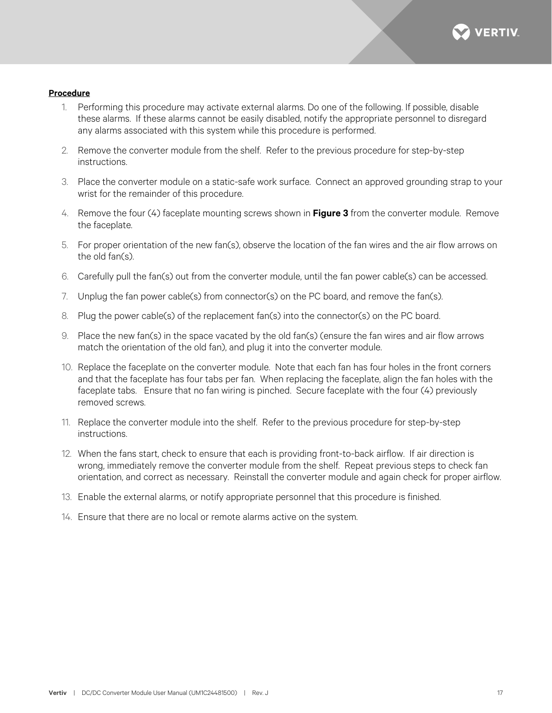

#### **Procedure**

- 1. Performing this procedure may activate external alarms. Do one of the following. If possible, disable these alarms. If these alarms cannot be easily disabled, notify the appropriate personnel to disregard any alarms associated with this system while this procedure is performed.
- 2. Remove the converter module from the shelf. Refer to the previous procedure for step-by-step instructions.
- 3. Place the converter module on a static-safe work surface. Connect an approved grounding strap to your wrist for the remainder of this procedure.
- 4. Remove the four (4) faceplate mounting screws shown in **[Figure 3](#page-17-0)** from the converter module. Remove the faceplate.
- 5. For proper orientation of the new fan(s), observe the location of the fan wires and the air flow arrows on the old fan(s).
- 6. Carefully pull the fan(s) out from the converter module, until the fan power cable(s) can be accessed.
- 7. Unplug the fan power cable(s) from connector(s) on the PC board, and remove the fan(s).
- 8. Plug the power cable(s) of the replacement fan(s) into the connector(s) on the PC board.
- 9. Place the new fan(s) in the space vacated by the old fan(s) (ensure the fan wires and air flow arrows match the orientation of the old fan), and plug it into the converter module.
- 10. Replace the faceplate on the converter module. Note that each fan has four holes in the front corners and that the faceplate has four tabs per fan. When replacing the faceplate, align the fan holes with the faceplate tabs. Ensure that no fan wiring is pinched. Secure faceplate with the four (4) previously removed screws.
- 11. Replace the converter module into the shelf. Refer to the previous procedure for step-by-step instructions.
- 12. When the fans start, check to ensure that each is providing front-to-back airflow. If air direction is wrong, immediately remove the converter module from the shelf. Repeat previous steps to check fan orientation, and correct as necessary. Reinstall the converter module and again check for proper airflow.
- 13. Enable the external alarms, or notify appropriate personnel that this procedure is finished.
- 14. Ensure that there are no local or remote alarms active on the system.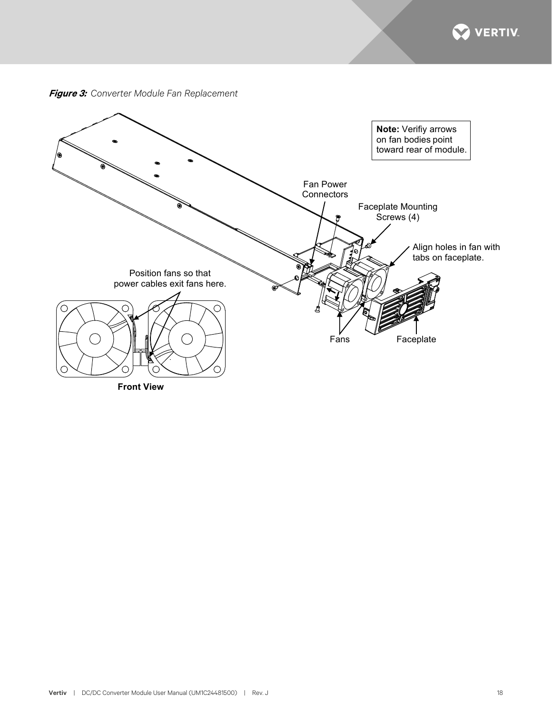

<span id="page-17-0"></span>**Figure 3:** *Converter Module Fan Replacement*

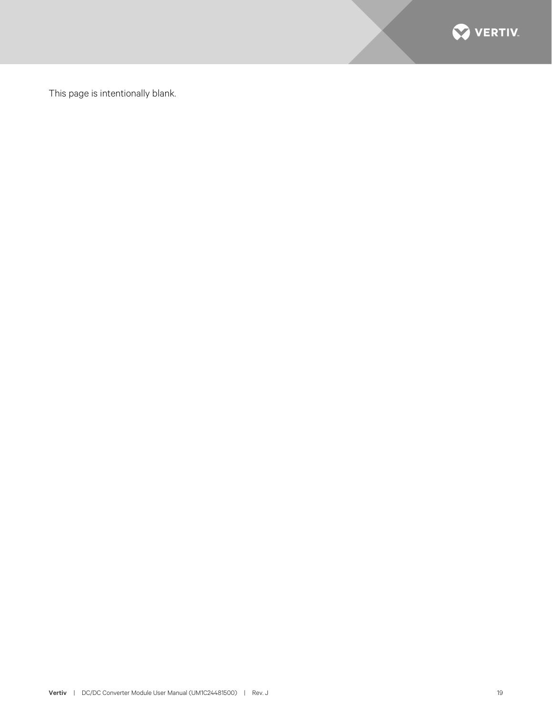

This page is intentionally blank.